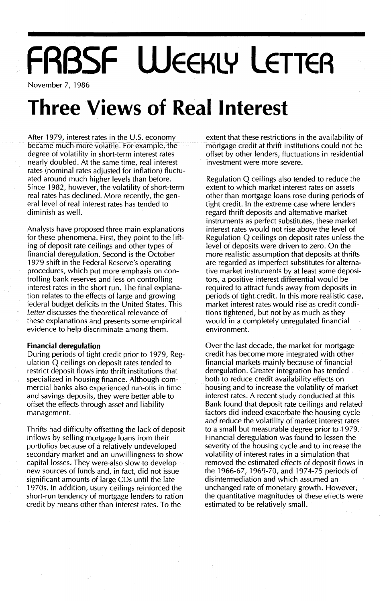# **FRBSF WEEKLY LETTER**

*November* 7, 1986

## **Three Views of** Real Interest

After 1979, interest rates in the U.S. economy became much more volatile. For example, the degree of volatility in short-term interest rates nearly doubled. At the same time, real interest rates (nominal rates adjusted for inflation) fluctuated around much higher levels than before. Since 1982, *however,* the volatility of short-term real rates has declined. More recently, the general level of real interest rates has tended to diminish as well.

Analysts *have* proposed three main explanations for these phenomena. First, they point to the lifting of deposit rate ceilings and other types of financial deregulation. Second is the October 1979 shift in the Federal Reserve's operating procedures, which put more emphasis on controlling bank *reserves* and less on controlling interest rates in the short run. The final explanation relates to the effects of large and growing federal budget deficits in the United States. This *Letter* discusses the theoretical relevance of these explanations and presents some empirical evidence to help discriminate among them.

#### **Financial deregulation**

During periods of tight credit prior to 1979, Regulation Q ceilings on deposit rates tended to restrict deposit flows into thrift institutions that specialized in housing finance. Although commercial banks also experienced run-offs in time and savings deposits, they were better able to offset the effects through asset and liability management.

Thrifts had difficulty offsetting the lack of deposit inflows by selling mortgage loans from their portfolios because of a relatively undeveloped secondary market and an unwillingness to show capital losses. They were also slow to develop new sources of funds and, in fact, did not issue significant amounts of large CDs until the late 1970s. In addition, usury ceilings reinforced the short-run tendency of mortgage lenders to ration credit by means other than interest rates. To the

extent that these restrictions in the availability of mortgage credit at thrift institutions could not be offset by other lenders, fluctuations in residential investment were more *severe.*

Regulation Q ceilings also tended to reduce the extent to which market interest rates on assets other than mortgage loans rose during periods of tight credit. In the extreme case where lenders regard thrift deposits and alternative market instruments as perfect substitutes, these market interest rates would not rise *above* the level of Regulation Q ceilings on deposit rates unless the level of deposits were driven to zero. On the more realistic assumption that deposits at thrifts are regarded as imperfect substitutes for alterna*tive* market instruments by at least some depositors, a positive interest differential would be required to attract funds away from deposits in periods of tight credit. In this more realistic case, market interest rates would rise as credit conditions tightened, but not by as much as they would in a completely unregulated financial environment.

*Over* the last decade, the market for mortgage credit has become more integrated with other financial markets mainly because of financial deregulation. Greater integration has tended both to reduce credit availability effects on housing and to increase the volatility of market interest rates. A recent study conducted at this Bank found that deposit rate ceilings and related factors did indeed exacerbate the housing cycle *and* reduce the volatility of market interest rates to a small but measurable degree prior to 1979. Financial deregulation was found to lessen the severity of the housing cycle and to increase the volatility of interest rates in a simulation that *removed* the estimated effects of deposit flows in the 1966-67, 1969-70, and 1974-75 periods of disintermediation and which assumed an unchanged rate of monetary growth. *However,* the quantitative magnitudes of these effects were estimated to be relatively small.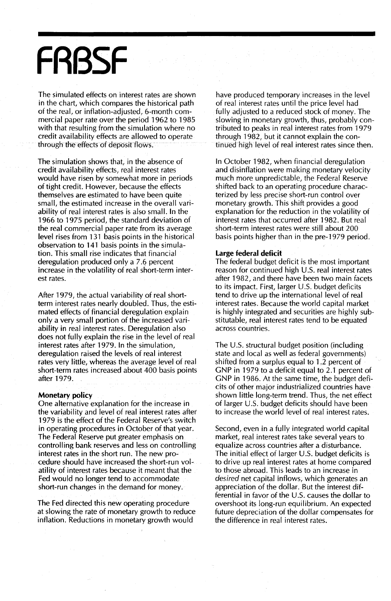# **FRBSF**

The simulated effects on interest rates are shown in the chart, which compares the historical path of the real, or inflation-adjusted, 6-month commercial paper rate over the period 1962 to 1985 with that resulting from the simulation where no credit availability effects are allowed to operate through the effects of deposit flows.

The simulation shows that, in the absence of credit availability effects, real interest rates would have risen by somewhat more in periods of tight credit. However, because the effects themselves are estimated to have been quite small, the estimated increase in the overall variability of real interest rates is also small. In the 1966 to 1975 period, the standard deviation of the real commercial paper rate from its average level rises from 131 basis points in the historical observation to 141 basis points in the simulation. This small rise indicates that financial deregulation produced only a 7.6 percent increase in the volatility of real short-term interest rates.

After 1979, the actual variability of real shortterm interest rates nearly doubled. Thus, the estimated effects of financial deregulation explain only a very small portion of the increased variability in real interest rates. Deregulation also does not fully explain the rise in the level of real interest rates after 1979. In the simulation, deregulation raised the levels of real interest rates very little, whereas the average level of real short-term rates increased about 400 basis points after 1979.

#### **Monetary policy**

One alternative explanation for the increase in the variability and level of real interest rates after 1979 is the effect of the Federal Reserve's switch in operating procedures in October of that year. The Federal Reserve put greater emphasis on controlling bank reserves and less on controlling interest rates in the short run. The new procedure should have increased the short-run volatility of interest rates because it meant that the Fed would no longer tend to accommodate short-run changes in the demand for money.

The Fed directed this new operating procedure at slowing the rate of monetary growth to reduce inflation. Reductions in monetary growth would

have produced temporary increases in the level of real interest rates until the price level had fully adjusted to a reduced stock of money. The slowing in monetary growth, thus, probably contributed to peaks in real interest rates from 1979 through 1982, but it cannot explain the continued high level of real interest rates since then.

In October 1982, when financial deregulation and disinflation were making monetary velocity much more unpredictable, the Federal Reserve shifted back to an operating procedure characterized by less precise short-run control over monetary growth. This shift provides a good explanation for the reduction in the volatility of interest rates that occurred after 1982. But real short-term interest rates were still about 200 basis points higher than in the pre-1979 period.

### **Large federal deficit**

The federal budget deficit is the most important reason for continued high U.S. real interest rates after 1982, and there have been two main facets to its impact. First, larger U.S. budget deficits tend to drive up the international level of real interest rates. Because the world capital market is highly integrated and securities are highly substitutable, real interest rates tend to be equated across countries.

The U.S. structural budget position (including state and local as well as federal governments) shifted from a surplus equal to 1.2 percent of GNP in 1979 to a deficit equal to 2.1 percent of GNP in 1986.At the same time, the budget deficits of other major industrialized countries have shown little long-term trend. Thus, the net effect of larger U.S. budget deficits should have been to increase the world level of real interest rates.

Second, even in a fully integrated world capital market, real interest rates take several years to equalize across countries after a disturbance. The initial effect of larger U.S. budget deficits is to drive up real interest rates at home compared to those abroad. This leads to an increase in *desired* net capital inflows, which generates an appreciation of the dollar. But the interest differential in favor of the  $U.S.$  causes the dollar to overshoot its long-run equilibrium. An expected future depreciation of the dollar compensates for the difference in real interest rates.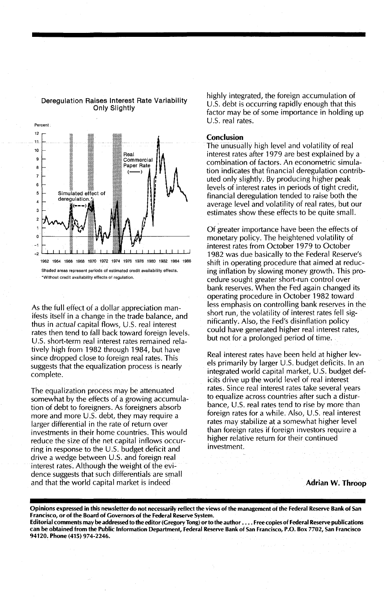

Deregulation Raises Interest Rate Variability Only Slightly

As the full effect of a dollar appreciation manifests itself in a change in the trade balance, and thus in *actual* capital flows, U.S. real interest rates then tend to fall back toward foreign levels. U.S. short-term real interest rates remained relatively high from 1982 through 1984, but have since dropped close to foreign real rates. This suggests that the equalization process is nearly complete.

The equalization process may be attenuated somewhat by the effects of a growing accumulation of debt to foreigners. As foreigners absorb more and more  $U.S.$  debt, they may require a larger differential in the rate of return over investments in their home countries. This would reduce the size of the net capital inflows occurring in response to the  $U.S.$  budget deficit and drive a wedge between U.S. and foreign real interest rates. Although the weight of the evidence suggests that such differentials are small and that the world capital market is indeed

highly integrated, the foreign accumulation of U.S. debt is occurring rapidly enough that this factor may be of some importance in holding up U.S. real rates.

#### Conclusion

The unusually high level and volatility of real interest rates after 1979 are best explained by a combination of factors. An econometric simulation indicates that financial deregulation contributed only slightly. By producing higher peak levels of interest rates in periods of tight credit, financial deregulation tended to raise both the average level and volatility of real rates, but our estimates show these effects to be quite small.

Of greater importance have been the effects of monetary policy. The heightened volatility of .interest rates from October 1979 to October 1982 was due basically to the Federal Reserve's shift in operating procedure that aimed at reducing inflation by slowing money growth. This procedure sought greater short-run control over bank reserves. When the Fed again changed its operating procedure in October 1982 toward less emphasis on controlling bank reserves in the short run, the volatility of interest rates fell significantly. Also, the Fed's disinflation policy could have generated higher real interest rates, but not for a prolonged period of time.

Real interest rates have been held at higher levels primarily by larger  $U.S.$  budget deficits. In an integrated world capital market, U.s. budget deficits drive up the world level of real interest rates. Since real interest rates take several years to equalize across countries after such a disturbance, U.S. real rates tend to rise by more than foreign rates for a while. Also, U.S. real interest rates may stabilize at a somewhat higher level than foreign rates if foreign investors require a higher relative return for their continued investment.

Adrian w. Throop

Opinions expressed in this newsletter do not necessarily reflect the views of the management of the Federal Reserve Bank of San Francisco, or of the Board of Governors of the Federal Reserve System. EditOrial comments may be addressed to the editor (Gregory Tong) orto the author .... Free copies of Federal Reserve publications can be obtained from the Public Information Department, Federal Reserve Bank of San Francisco P.O. Box 7702 San Francisco 94120. Phone (415) 974-2246.